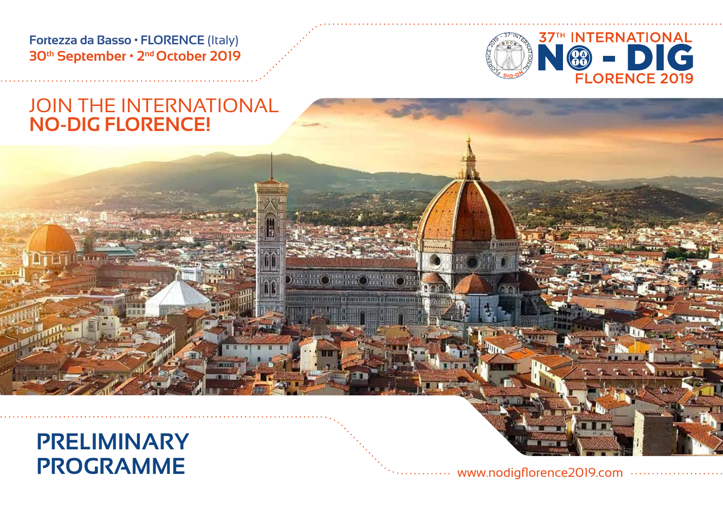**Fortezza da Basso • FLORENCE** (Italy) **30th September • 2nd October 2019**



# JOIN THE INTERNATIONAL **NO-DIG FLORENCE!**



**PROGRAMME**

www.nodigflorence2019.com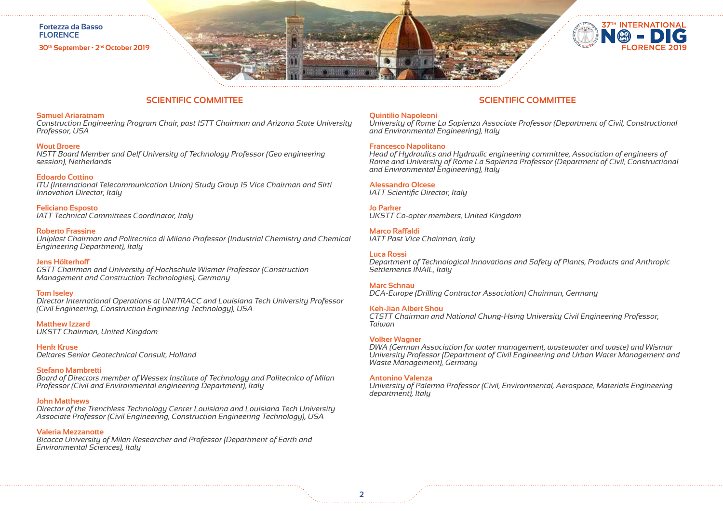

**30th September • 2nd October 2019**



## **SCIENTIFIC COMMITTEE**

### **Samuel Ariaratnam**

*Construction Engineering Program Chair, past ISTT Chairman and Arizona State University Professor, USA*

## **Wout Broere**

*NSTT Board Member and Delf University of Technology Professor (Geo engineering session), Netherlands*

## **Edoardo Cottino**

*ITU (International Telecommunication Union) Study Group 15 Vice Chairman and Sirti Innovation Director, Italy*

**Feliciano Esposto** *IATT Technical Committees Coordinator, Italy*

### **Roberto Frassine**

*Uniplast Chairman and Politecnico di Milano Professor (Industrial Chemistry and Chemical Engineering Department), Italy*

## **Jens Hölterhoff**

*GSTT Chairman and University of Hochschule Wismar Professor (Construction Management and Construction Technologies), Germany*

### **Tom Iseley**

*Director International Operations at UNITRACC and Louisiana Tech University Professor (Civil Engineering, Construction Engineering Technology), USA*

**Matthew Izzard** *UKSTT Chairman, United Kingdom*

**Henk Kruse** *Deltares Senior Geotechnical Consult, Holland*

### **Stefano Mambretti**

*Board of Directors member of Wessex Institute of Technology and Politecnico of Milan Professor (Civil and Environmental engineering Department), Italy*

### **John Matthews**

*Director of the Trenchless Technology Center Louisiana and Louisiana Tech University Associate Professor (Civil Engineering, Construction Engineering Technology), USA*

### **Valeria Mezzanotte**

*Bicocca University of Milan Researcher and Professor (Department of Earth and Environmental Sciences), Italy*

## **SCIENTIFIC COMMITTEE**

## **Quintilio Napoleoni**

*University of Rome La Sapienza Associate Professor (Department of Civil, Constructional and Environmental Engineering), Italy*

## **Francesco Napolitano**

*Head of Hydraulics and Hydraulic engineering committee, Association of engineers of Rome and University of Rome La Sapienza Professor (Department of Civil, Constructional and Environmental Engineering), Italy*

## **Alessandro Olcese**

*IATT Scientific Director, Italy*

**Jo Parker**  *UKSTT Co-opter members, United Kingdom*

### **Marco Raffaldi**

*IATT Past Vice Chairman, Italy*

## **Luca Rossi**

*Department of Technological Innovations and Safety of Plants, Products and Anthropic Settlements INAlL, Italy*

### **Marc Schnau**

*DCA-Europe (Drilling Contractor Association) Chairman, Germany*

### **Keh-Jian Albert Shou**

*CTSTT Chairman and National Chung-Hsing University Civil Engineering Professor, Taiwan*

### **Volker Wagner**

*DWA (German Association for water management, wastewater and waste) and Wismar University Professor (Department of Civil Engineering and Urban Water Management and Waste Management), Germany*

#### **Antonino Valenza**

*University of Palermo Professor (Civil, Environmental, Aerospace, Materials Engineering department), Italy*

**2**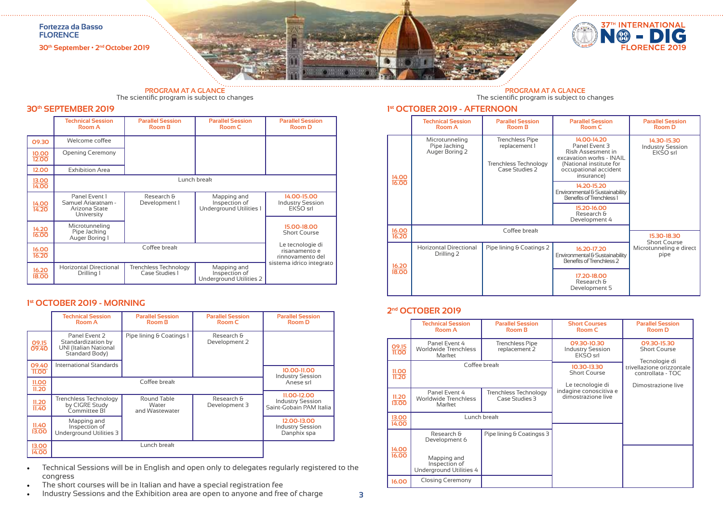

# **PROGRAM AT A GLANCE** The scientific program is subject to changes

## **30th SEPTEMBER 2019**

|                       | <b>Technical Session</b><br><b>Room A</b>                           | <b>Parallel Session</b><br><b>Room B</b> | <b>Parallel Session</b><br><b>Room C</b>                | <b>Parallel Session</b><br><b>Room D</b>              |
|-----------------------|---------------------------------------------------------------------|------------------------------------------|---------------------------------------------------------|-------------------------------------------------------|
| 09.30                 | Welcome coffee                                                      |                                          |                                                         |                                                       |
| 10.00<br>12.00        | <b>Opening Ceremony</b>                                             |                                          |                                                         |                                                       |
| 12.00                 | <b>Exhibition Area</b>                                              |                                          |                                                         |                                                       |
| 13.00<br>14.00        |                                                                     |                                          | Lunch break                                             |                                                       |
| 14.00<br>14.20        | Panel Event 1<br>Samuel Ariaratnam -<br>Arizona State<br>University | Research &<br>Development 1              | Mapping and<br>Inspection of<br>Underground Utilities 1 | 14.00-15.00<br><b>Industry Session</b><br>EKSO srl    |
| $\frac{14.20}{16.00}$ | Microtunneling<br>Pipe Jacking<br>Auger Boring 1                    |                                          |                                                         | 15.00-18.00<br><b>Short Course</b>                    |
| 16.00<br>16.20        |                                                                     | Coffee break                             |                                                         | Le tecnologie di<br>risanamento e<br>rinnovamento del |
| 16.20<br>18.00        | <b>Horizontal Directional</b><br>Drilling 1                         | Trenchless Technology<br>Case Studies 1  | Mapping and<br>Inspection of<br>Underground Utilities 2 | sistema idrico integrato                              |

## **1st OCTOBER 2019 - MORNING**

|                | <b>Technical Session</b><br><b>Room A</b>                                             | <b>Parallel Session</b><br><b>Room B</b> | <b>Parallel Session</b><br>Room C | <b>Parallel Session</b><br>Room D                                 |
|----------------|---------------------------------------------------------------------------------------|------------------------------------------|-----------------------------------|-------------------------------------------------------------------|
| 09.15<br>09.40 | Panel Event 2<br>Standardization by<br><b>UNI (Italian National</b><br>Standard Body) | Pipe lining & Coatings 1                 | Research &<br>Development 2       |                                                                   |
| 09.40<br>11.00 | International Standards                                                               |                                          |                                   | 10.00-11.00                                                       |
| 11.00<br>11.20 |                                                                                       | Coffee break                             |                                   | <b>Industry Session</b><br>Anese srl                              |
| 11.20<br>11.40 | Trenchless Technology<br>by CIGRE Study<br>Committee BI                               | Round Table<br>Water<br>and Wastewater   | Research &<br>Development 3       | 11.00-12.00<br><b>Industry Session</b><br>Saint-Gobain PAM Italia |
| 11.40<br>13.00 | Mapping and<br>Inspection of<br>Underground Utilities 3                               |                                          |                                   | 12.00-13.00<br><b>Industry Session</b><br>Danphix spa             |
| 13.00<br>14.00 |                                                                                       | Lunch break                              |                                   |                                                                   |

- Technical Sessions will be in English and open only to delegates regularly registered to the congress
- The short courses will be in Italian and have a special registration fee
- Industry Sessions and the Exhibition area are open to anyone and free of charge

# **PROGRAM AT A GLANCE** The scientific program is subject to changes

## **1st OCTOBER 2019 - AFTERNOON**

|                | <b>Technical Session</b><br>Room A               | <b>Parallel Session</b><br><b>Room B</b>                                                  | <b>Parallel Session</b><br>Room C                                                                                                               | <b>Parallel Session</b><br><b>Room D</b>           |
|----------------|--------------------------------------------------|-------------------------------------------------------------------------------------------|-------------------------------------------------------------------------------------------------------------------------------------------------|----------------------------------------------------|
| 14.00          | Microtunneling<br>Pipe Jacking<br>Auger Boring 2 | <b>Trenchless Pipe</b><br>replacement 1<br><b>Trenchless Technology</b><br>Case Studies 2 | 14.00-14.20<br>Panel Event 3<br>Risk Assesment in<br>excavation works - INAIL<br>(National institute for<br>occupational accident<br>insurance) | 14.30-15.30<br><b>Industry Session</b><br>EKSO srl |
| 16.00          |                                                  |                                                                                           | 14.20-15.20<br>Environmental & Sustainability<br>Benefits of Trenchless 1                                                                       |                                                    |
|                |                                                  |                                                                                           | 15.20-16.00<br>Research &<br>Development 4                                                                                                      |                                                    |
| 16.00<br>16.20 |                                                  | Coffee break                                                                              |                                                                                                                                                 | 15.30-18.30<br><b>Short Course</b>                 |
| 16.20          | <b>Horizontal Directional</b><br>Drilling 2      | Pipe lining & Coatings 2                                                                  | 16.20-17.20<br>Environmental & Sustainability<br>Benefits of Trenchless 2                                                                       | Microtunneling e direct<br>pipe                    |
| 18.00          |                                                  |                                                                                           | 17.20-18.00<br>Research &<br>Development 5                                                                                                      |                                                    |

## **2nd OCTOBER 2019**

|                       | <b>Technical Session</b><br><b>Room A</b>               | <b>Parallel Session</b><br><b>Room B</b>       | <b>Short Courses</b><br><b>Room C</b>                  | <b>Parallel Session</b><br><b>Room D</b>                                              |
|-----------------------|---------------------------------------------------------|------------------------------------------------|--------------------------------------------------------|---------------------------------------------------------------------------------------|
| $\frac{09.15}{11.00}$ | Panel Event 4<br>Worldwide Trenchless<br>Market         | Trenchless Pipe<br>replacement 2               | 09.30-10.30<br><b>Industry Session</b><br>EKSO srl     | 09.30-15.30<br><b>Short Course</b>                                                    |
| $\frac{11.00}{11.20}$ | Coffee break                                            |                                                | 10.30-13.30<br><b>Short Course</b><br>Le tecnologie di | Tecnologie di<br>trivellazione orizzontale<br>controllata - TOC<br>Dimostrazione live |
| 11.20<br>13.00        | Panel Event 4<br>Worldwide Trenchless<br>Market         | <b>Trenchless Technology</b><br>Case Studies 3 | indagine conoscitiva e<br>dimostrazione live           |                                                                                       |
| 13.00<br>14.00        |                                                         | Lunch break                                    |                                                        |                                                                                       |
|                       | Research &<br>Development 6                             | Pipe lining & Coatingss 3                      |                                                        |                                                                                       |
| $\frac{14.00}{16.00}$ | Mapping and<br>Inspection of<br>Underground Utilities 4 |                                                |                                                        |                                                                                       |
| 16.00                 | <b>Closing Ceremony</b>                                 |                                                |                                                        |                                                                                       |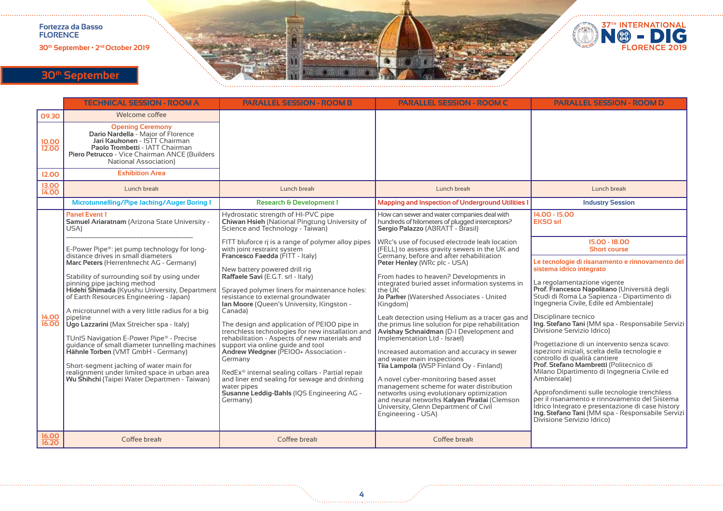**30th September • 2nd October 2019**



# **30th September**

|                       | <b>TECHNICAL SESSION - ROOM A</b>                                                                                                                                                                                                | <b>PARALLEL SESSION - ROOM B</b>                                                                                                                                                                      | <b>PARALLEL SESSION - ROOM C</b>                                                                                                                                                                    | <b>PARALLEL SESSION - ROOM D</b>                                                                                                                                                                                                       |
|-----------------------|----------------------------------------------------------------------------------------------------------------------------------------------------------------------------------------------------------------------------------|-------------------------------------------------------------------------------------------------------------------------------------------------------------------------------------------------------|-----------------------------------------------------------------------------------------------------------------------------------------------------------------------------------------------------|----------------------------------------------------------------------------------------------------------------------------------------------------------------------------------------------------------------------------------------|
| 09.30                 | Welcome coffee                                                                                                                                                                                                                   |                                                                                                                                                                                                       |                                                                                                                                                                                                     |                                                                                                                                                                                                                                        |
| 10.00<br>12.00        | <b>Opening Ceremony</b><br>Dario Nardella - Maior of Florence<br>Jari Kaukonen - ISTT Chairman<br>Paolo Trombetti - IATT Chairman<br>Piero Petrucco - Vice Chairman ANCE (Builders<br><b>National Association)</b>               |                                                                                                                                                                                                       |                                                                                                                                                                                                     |                                                                                                                                                                                                                                        |
| 12.00                 | <b>Exhibition Area</b>                                                                                                                                                                                                           |                                                                                                                                                                                                       |                                                                                                                                                                                                     |                                                                                                                                                                                                                                        |
| <b>13.00</b><br>14.00 | Lunch break                                                                                                                                                                                                                      | Lunch break                                                                                                                                                                                           | Lunch break                                                                                                                                                                                         | Lunch break                                                                                                                                                                                                                            |
|                       | Microtunnelling/Pipe Jacking/Auger Boring 1                                                                                                                                                                                      | <b>Research &amp; Development 1</b>                                                                                                                                                                   | <b>Mapping and Inspection of Underground Utilities 1</b>                                                                                                                                            | <b>Industry Session</b>                                                                                                                                                                                                                |
|                       | <b>Panel Event 1</b><br>Samuel Ariaratnam (Arizona State University -<br>USA)                                                                                                                                                    | Hydrostatic strength of HI-PVC pipe<br>Chiwan Hsieh (National Pingtung University of<br>Science and Technology - Taiwan)                                                                              | How can sewer and water companies deal with<br>hundreds of kilometers of plugged interceptors?<br>Sergio Palazzo (ABRATT - Brasil)                                                                  | 14.00 - 15.00<br><b>EKSO</b> srl                                                                                                                                                                                                       |
|                       | E-Power Pipe®: jet pump technology for long-<br>distance drives in small diameters                                                                                                                                               | FITT bluforce rj is a range of polymer alloy pipes<br>with joint restraint system<br>Francesco Faedda (FITT - Italy)                                                                                  | WRc's use of focused electrode leak location<br>(FELL) to assess gravity sewers in the UK and<br>Germany, before and after rehabilitation                                                           | 15.00 - 18.00<br><b>Short course</b>                                                                                                                                                                                                   |
|                       | Marc Peters (Herrenknecht AG - Germany)                                                                                                                                                                                          | New battery powered drill rig<br>Raffaele Savi (E.G.T. srl - Italy)                                                                                                                                   | Peter Henley (WRc plc - USA)<br>From hades to heaven? Developments in                                                                                                                               | Le tecnologie di risanamento e rinnovamento del<br>sistema idrico integrato                                                                                                                                                            |
|                       | Stability of surrounding soil by using under<br>pinning pipe jacking method<br>Hideki Shimada (Kyushu University, Departmen<br>of Earth Resources Engineering - Japan)                                                           | Sprayed polymer liners for maintenance holes:<br>resistance to external groundwater<br>Ian Moore (Queen's University, Kingston -                                                                      | integrated buried asset information systems in<br>the UK<br>Jo Parker (Watershed Associates - United<br>Kingdom)                                                                                    | La regolamentazione vigente<br>Prof. Francesco Napolitano (Università degli<br>Studi di Roma La Sapienza - Dipartimento di<br>Ingegneria Civile, Edile ed Ambientale)                                                                  |
| 14.00<br>16.00        | A microtunnel with a very little radius for a big<br>pipeline<br>Ugo Lazzarini (Max Streicher spa - Italy)<br>TUnIS Navigation E-Power Pipe® - Precise                                                                           | Canada)<br>The design and application of PE100 pipe in<br>trenchless technologies for new installation and<br>rehabilitation - Aspects of new materials and                                           | Leak detection using Helium as a tracer gas and<br>the primus line solution for pipe rehabilitation<br>Avishay Schnaidman (D-I Development and<br>Implementation Ltd - Israel)                      | Disciplinare tecnico<br>Ing. Stefano Tani (MM spa - Responsabile Servizi<br>Divisione Servizio Idrico)                                                                                                                                 |
|                       | guidance of small diameter tunnelling machines<br>Hähnle Torben (VMT GmbH - Germany)<br>Short-segment jacking of water main for<br>realignment under limited space in urban area<br>Wu Shihchi (Taipei Water Departmen - Taiwan) | support via online guide and tool<br>Andrew Wedgner (PE100+ Association -<br>Germany<br>RedEx <sup>®</sup> internal sealing collars - Partial repair<br>and liner end sealing for sewage and drinking | Increased automation and accuracy in sewer<br>and water main inspections<br>Tiia Lampola (WSP Finland Oy - Finland)<br>A novel cyber-monitoring based asset                                         | Progettazione di un intervento senza scavo:<br>ispezioni iniziali, scelta della tecnologie e<br>controllo di qualità cantiere<br>Prof. Stefano Mambretti (Politecnico di<br>Milano Dipartimento di Ingegneria Civile ed<br>Ambientale) |
|                       |                                                                                                                                                                                                                                  | water pipes<br>Susanne Leddig-Bahls (IQS Engineering AG -<br>Germany)                                                                                                                                 | management scheme for water distribution<br>networks using evolutionary optimization<br>and neural networks Kalyan Piratlai (Clemson<br>University, Glenn Department of Civil<br>Engineering - USA) | Approfondimenti sulle tecnologie trenchless<br>per il risanamento e rinnovamento del Sistema<br>Idrico Integrato e presentazione di case history<br>Ing. Stefano Tani (MM spa - Responsabile Servizi<br>Divisione Servizio Idrico)     |
| 16.00<br>16.20        | Coffee break                                                                                                                                                                                                                     | Coffee break                                                                                                                                                                                          | Coffee break                                                                                                                                                                                        |                                                                                                                                                                                                                                        |

**4**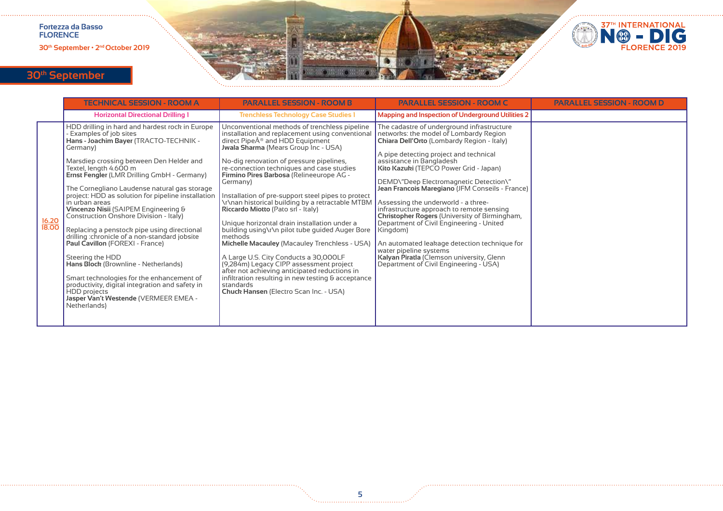**30th September • 2nd October 2019**



# **30th September**

|                | <b>TECHNICAL SESSION - ROOM A</b>                                                                                                                                                                                                                                                                                                                                                                                                                                                                                                                                                                                                                                                                                                                                                                                                            | <b>PARALLEL SESSION - ROOM B</b>                                                                                                                                                                                                                                                                                                                                                                                                                                                                                                                                                                                                                                                                                                                                                                                                                                                                    | <b>PARALLEL SESSION - ROOM C</b>                                                                                                                                                                                                                                                                                                                                                                                                                                                                                                                                                                                                                                                                              | <b>PARALLEL SESSION - ROOM D</b> |
|----------------|----------------------------------------------------------------------------------------------------------------------------------------------------------------------------------------------------------------------------------------------------------------------------------------------------------------------------------------------------------------------------------------------------------------------------------------------------------------------------------------------------------------------------------------------------------------------------------------------------------------------------------------------------------------------------------------------------------------------------------------------------------------------------------------------------------------------------------------------|-----------------------------------------------------------------------------------------------------------------------------------------------------------------------------------------------------------------------------------------------------------------------------------------------------------------------------------------------------------------------------------------------------------------------------------------------------------------------------------------------------------------------------------------------------------------------------------------------------------------------------------------------------------------------------------------------------------------------------------------------------------------------------------------------------------------------------------------------------------------------------------------------------|---------------------------------------------------------------------------------------------------------------------------------------------------------------------------------------------------------------------------------------------------------------------------------------------------------------------------------------------------------------------------------------------------------------------------------------------------------------------------------------------------------------------------------------------------------------------------------------------------------------------------------------------------------------------------------------------------------------|----------------------------------|
|                | <b>Horizontal Directional Drilling 1</b>                                                                                                                                                                                                                                                                                                                                                                                                                                                                                                                                                                                                                                                                                                                                                                                                     | <b>Trenchless Technology Case Studies 1</b>                                                                                                                                                                                                                                                                                                                                                                                                                                                                                                                                                                                                                                                                                                                                                                                                                                                         | Mapping and Inspection of Underground Utilities 2                                                                                                                                                                                                                                                                                                                                                                                                                                                                                                                                                                                                                                                             |                                  |
| 16.20<br>18.00 | HDD drilling in hard and hardest rock in Europe<br>Examples of job sites<br>Hans - Joachim Bayer (TRACTO-TECHNIK -<br>Germany)<br>Marsdiep crossing between Den Helder and<br>Textel, length 4.600 m<br>Ernst Fengler (LMR Drilling GmbH - Germany)<br>The Cornegliano Laudense natural gas storage<br>project: HDD as solution for pipeline installation<br>in urban areas<br>Vincenzo Nisii (SAIPEM Engineering &<br>Construction Onshore Division - Italy)<br>Replacing a penstock pipe using directional<br>drilling :chronicle of a non-standard jobsite<br>Paul Cavillon (FOREXI - France)<br>Steering the HDD<br>Hans Block (Brownline - Netherlands)<br>Smart technologies for the enhancement of<br>productivity, digital integration and safety in<br><b>HDD</b> projects<br>Jasper Van't Westende (VERMEER EMEA -<br>Netherlands) | Unconventional methods of trenchless pipeline<br>installation and replacement using conventional<br>direct Pipe® and HDD Equipment<br>Jwala Sharma (Mears Group Inc - USA)<br>No-dig renovation of pressure pipelines,<br>re-connection techniques and case studies<br>Firmino Pires Barbosa (Relineeurope AG -<br>Germany)<br>Installation of pre-support steel pipes to protect<br>\r\nan historical building by a retractable MTBM<br>Riccardo Miotto (Pato srl - Italy)<br>Unique horizontal drain installation under a<br>building using\r\n pilot tube guided Auger Bore<br>methods<br>Michelle Macauley (Macauley Trenchless - USA)<br>A Large U.S. City Conducts a 30,000LF<br>(9,284m) Legacy CIPP assessment project<br>after not achieving anticipated reductions in<br>infiltration resulting in new testing $\theta$ acceptance<br>standards<br>Chuck Hansen (Electro Scan Inc. - USA) | The cadastre of underground infrastructure<br>networks: the model of Lombardy Region<br>Chiara Dell'Orto (Lombardy Region - Italy)<br>A pipe detecting project and technical<br>assistance in Bangladesh<br>Kito Kazuki (TEPCO Power Grid - Japan)<br>DEMD\"Deep Electromagnetic Detection\"<br>Jean Francois Maregiano (JFM Conseils - France)<br>Assessing the underworld - a three-<br>infrastructure approach to remote sensing<br>Christopher Rogers (University of Birmingham,<br>Department of Civil Engineering - United<br>Kingdom)<br>An automated leakage detection technique for<br>water pipeline systems<br>Kalyan Piratla (Clemson university, Glenn<br>Department of Civil Engineering - USA) |                                  |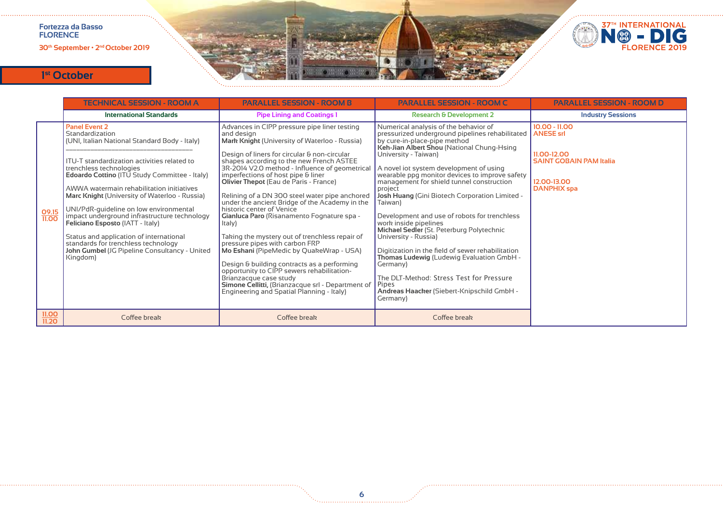**30th September • 2nd October 2019**



|                | <b>TECHNICAL SESSION - ROOM A</b>                                                                                                                                                                                                                                                                                                                                                                                                                                                                                                                                                                     | <b>PARALLEL SESSION - ROOM B</b>                                                                                                                                                                                                                                                                                                                                                                                                                                                                                                                                                                                                                                                                                                                                                                                                                                                            | <b>PARALLEL SESSION - ROOM C</b>                                                                                                                                                                                                                                                                                                                                                                                                                                                                                                                                                                                                                                                                                                                                                                   | <b>PARALLEL SESSION - ROOM D</b>                                                                                          |
|----------------|-------------------------------------------------------------------------------------------------------------------------------------------------------------------------------------------------------------------------------------------------------------------------------------------------------------------------------------------------------------------------------------------------------------------------------------------------------------------------------------------------------------------------------------------------------------------------------------------------------|---------------------------------------------------------------------------------------------------------------------------------------------------------------------------------------------------------------------------------------------------------------------------------------------------------------------------------------------------------------------------------------------------------------------------------------------------------------------------------------------------------------------------------------------------------------------------------------------------------------------------------------------------------------------------------------------------------------------------------------------------------------------------------------------------------------------------------------------------------------------------------------------|----------------------------------------------------------------------------------------------------------------------------------------------------------------------------------------------------------------------------------------------------------------------------------------------------------------------------------------------------------------------------------------------------------------------------------------------------------------------------------------------------------------------------------------------------------------------------------------------------------------------------------------------------------------------------------------------------------------------------------------------------------------------------------------------------|---------------------------------------------------------------------------------------------------------------------------|
|                | <b>International Standards</b>                                                                                                                                                                                                                                                                                                                                                                                                                                                                                                                                                                        | <b>Pipe Lining and Coatings 1</b>                                                                                                                                                                                                                                                                                                                                                                                                                                                                                                                                                                                                                                                                                                                                                                                                                                                           | <b>Research &amp; Development 2</b>                                                                                                                                                                                                                                                                                                                                                                                                                                                                                                                                                                                                                                                                                                                                                                | <b>Industry Sessions</b>                                                                                                  |
| 09.15<br>11.00 | <b>Panel Event 2</b><br>Standardization<br>(UNI, Italian National Standard Body - Italy)<br>ITU-T standardization activities related to<br>trenchless technologies<br>Edoardo Cottino (ITU Study Committee - Italy)<br>AWWA watermain rehabilitation initiatives<br>Marc Knight (University of Waterloo - Russia)<br>UNI/PdR-guideline on low environmental<br>impact underground infrastructure technology<br><b>Feliciano Esposto (IATT - Italy)</b><br>Status and application of international<br>standards for trenchless technology<br>John Gumbel (JG Pipeline Consultancy - United<br>Kingdom) | Advances in CIPP pressure pipe liner testing<br>and design<br>Mark Knight (University of Waterloo - Russia)<br>Design of liners for circular & non-circular<br>shapes according to the new French ASTEE<br>3R-2014 V2.0 method - Influence of geometrical<br>imperfections of host pipe & liner<br>Olivier Thepot (Eau de Paris - France)<br>Relining of a DN 300 steel water pipe anchored<br>under the ancient Bridge of the Academy in the<br>historic center of Venice<br>Gianluca Paro (Risanamento Fognature spa -<br>ltaly)<br>Taking the mystery out of trenchless repair of<br>pressure pipes with carbon FRP<br>Mo Eshani (PipeMedic by QuakeWrap - USA)<br>Design & building contracts as a performing<br>opportunity to CIPP sewers rehabilitation-<br>Brianzacque case study<br>Simone Cellitti, (Brianzacque srl - Department of<br>Engineering and Spatial Planning - Italy) | Numerical analysis of the behavior of<br>pressurized underground pipelines rehabilitated<br>by cure-in-place-pipe method<br>Keh-Jian Albert Shou (National Chung-Hsing<br>University - Taiwan)<br>A novel jot system development of using<br>wearable ppg monitor devices to improve safety<br>management for shield tunnel construction<br>project<br>Josh Huang (Gini Biotech Corporation Limited -<br>Taiwan)<br>Development and use of robots for trenchless<br>work inside pipelines<br>Michael Sedler (St. Peterburg Polytechnic<br>University - Russia)<br>Digitization in the field of sewer rehabilitation<br>Thomas Ludewig (Ludewig Evaluation GmbH -<br>Germany)<br>The DLT-Method: Stress Test for Pressure<br><b>Pipes</b><br>Andreas Haacker (Siebert-Knipschild GmbH -<br>Germany) | $10.00 - 11.00$<br><b>ANESE srl</b><br>11.00-12.00<br><b>SAINT GOBAIN PAM Italia</b><br>12.00-13.00<br><b>DANPHIX</b> spa |
| 11.00<br>11.20 | Coffee break                                                                                                                                                                                                                                                                                                                                                                                                                                                                                                                                                                                          | Coffee break                                                                                                                                                                                                                                                                                                                                                                                                                                                                                                                                                                                                                                                                                                                                                                                                                                                                                | Coffee break                                                                                                                                                                                                                                                                                                                                                                                                                                                                                                                                                                                                                                                                                                                                                                                       |                                                                                                                           |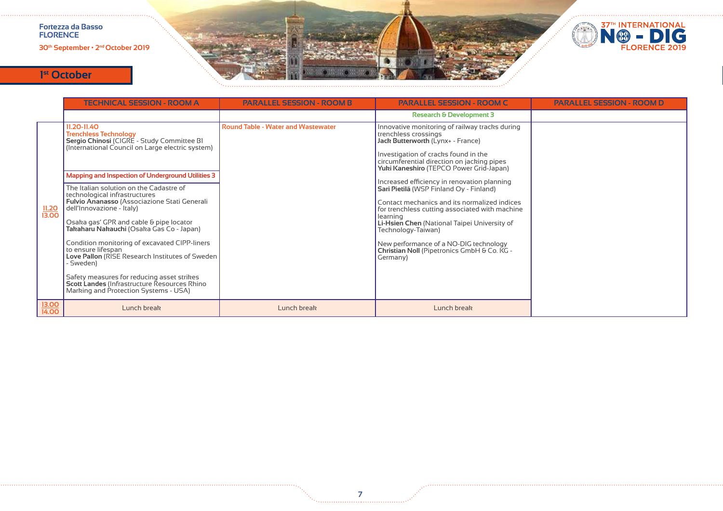

|                       | <b>TECHNICAL SESSION - ROOM A</b>                                                                                                                                                                                                                                                                                                                                                                                                                                                                                                                                                                                                                                                                                                | <b>PARALLEL SESSION - ROOM B</b>          | <b>PARALLEL SESSION - ROOM C</b>                                                                                                                                                                                                                                                                                                                                                                                                                                                                                                                                                                                                | <b>PARALLEL SESSION - ROOM D</b> |
|-----------------------|----------------------------------------------------------------------------------------------------------------------------------------------------------------------------------------------------------------------------------------------------------------------------------------------------------------------------------------------------------------------------------------------------------------------------------------------------------------------------------------------------------------------------------------------------------------------------------------------------------------------------------------------------------------------------------------------------------------------------------|-------------------------------------------|---------------------------------------------------------------------------------------------------------------------------------------------------------------------------------------------------------------------------------------------------------------------------------------------------------------------------------------------------------------------------------------------------------------------------------------------------------------------------------------------------------------------------------------------------------------------------------------------------------------------------------|----------------------------------|
|                       |                                                                                                                                                                                                                                                                                                                                                                                                                                                                                                                                                                                                                                                                                                                                  |                                           | <b>Research &amp; Development 3</b>                                                                                                                                                                                                                                                                                                                                                                                                                                                                                                                                                                                             |                                  |
| $\frac{11.20}{13.00}$ | 11.20-11.40<br><b>Trenchless Technology</b><br>Sergio Chinosi (CIGRE - Study Committee BI<br>(International Council on Large electric system)<br>Mapping and Inspection of Underground Utilities 3<br>The Italian solution on the Cadastre of<br>technological infrastructures<br>Fulvio Ananasso (Associazione Stati Generali<br>dell'Innovazione - Italy)<br>Osaka gas' GPR and cable & pipe locator<br>Takaharu Nakauchi (Osaka Gas Co - Japan)<br>Condition monitoring of excavated CIPP-liners<br>to ensure lifespan<br>Love Pallon (RISE Research Institutes of Sweden<br>- Sweden)<br>Safety measures for reducing asset strikes<br>Scott Landes (Infrastructure Resources Rhino<br>Marking and Protection Systems - USA) | <b>Round Table - Water and Wastewater</b> | Innovative monitoring of railway tracks during<br>trenchless crossings<br>Jack Butterworth (Lynx+ - France)<br>Investigation of cracks found in the<br>circumferential direction on jacking pipes<br>Yuki Kaneshiro (TEPCO Power Grid-Japan)<br>Increased efficiency in renovation planning<br>Sari Pietilä (WSP Finland Oy - Finland)<br>Contact mechanics and its normalized indices<br>for trenchless cutting associated with machine<br>learning<br>Li-Hsien Chen (National Taipei University of<br>Technology-Taiwan)<br>New performance of a NO-DIG technology<br>Christian Noll (Pipetronics GmbH & Co. KG -<br>Germany) |                                  |
| 13.00<br>14.00        | Lunch break                                                                                                                                                                                                                                                                                                                                                                                                                                                                                                                                                                                                                                                                                                                      | Lunch break                               | Lunch break                                                                                                                                                                                                                                                                                                                                                                                                                                                                                                                                                                                                                     |                                  |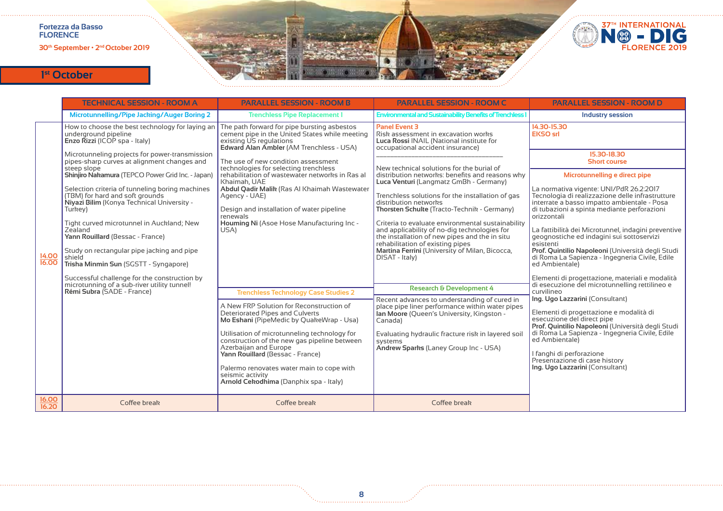**30th September • 2nd October 2019**





|                | <b>TECHNICAL SESSION - ROOM A</b>                                                                                                           | <b>PARALLEL SESSION - ROOM B</b>                                                                                                                                     | <b>PARALLEL SESSION - ROOM C</b>                                                                                                                                                       | <b>PARALLEL SESSION - ROOM D</b>                                                                                                                                                                         |
|----------------|---------------------------------------------------------------------------------------------------------------------------------------------|----------------------------------------------------------------------------------------------------------------------------------------------------------------------|----------------------------------------------------------------------------------------------------------------------------------------------------------------------------------------|----------------------------------------------------------------------------------------------------------------------------------------------------------------------------------------------------------|
|                | Microtunnelling/Pipe Jacking/Auger Boring 2                                                                                                 | <b>Trenchless Pipe Replacement 1</b>                                                                                                                                 | <b>Environmental and Sustainability Benefits of Trenchless</b>                                                                                                                         | <b>Industry session</b>                                                                                                                                                                                  |
|                | How to choose the best technology for laying an<br>underground pipeline<br>Enzo Rizzi (ICOP spa - Italy)                                    | The path forward for pipe bursting asbestos<br>cement pipe in the United States while meeting<br>existing US regulations<br>Edward Alan Ambler (AM Trenchless - USA) | <b>Panel Event 3</b><br>Risk assessment in excavation works<br>Luca Rossi INAIL (National institute for<br>occupational accident insurance)                                            | 14.30-15.30<br><b>EKSO</b> srl                                                                                                                                                                           |
|                | Microtunneling projects for power-transmission<br>pipes-sharp curves at alignment changes and<br>steep slope                                | The use of new condition assessment<br>technologies for selecting trenchless                                                                                         | New technical solutions for the burial of                                                                                                                                              | 15.30-18.30<br><b>Short course</b>                                                                                                                                                                       |
|                | Shinjiro Nakamura (TEPCO Power Grid Inc. - Japan)                                                                                           | rehabilitation of wastewater networks in Ras al<br>Khaimah, UAE                                                                                                      | distribution networks: benefits and reasons why<br>Luca Venturi (Langmatz GmBh - Germany)                                                                                              | Microtunnelling e direct pipe                                                                                                                                                                            |
|                | Selection criteria of tunneling boring machines<br>(TBM) for hard and soft grounds<br>Niyazi Bilim (Konya Technical University -<br>Turkey) | Abdul Qadir Malik (Ras Al Khaimah Wastewater<br>Agency - UAE)<br>Design and installation of water pipeline<br>renewals                                               | Trenchless solutions for the installation of gas<br>distribution networks<br>Thorsten Schulte (Tracto-Technik - Germany)                                                               | La normativa vigente: UNI/PdR 26.2:2017<br>Tecnologia di realizzazione delle infrastrutture<br>interrate a basso impatto ambientale - Posa<br>di tubazioni a spinta mediante perforazioni<br>orizzontali |
|                | Tight curved microtunnel in Auckland; New<br>Zealand<br>Yann Rouillard (Bessac - France)                                                    | Houming Ni (Asoe Hose Manufacturing Inc -<br>USA)                                                                                                                    | Criteria to evaluate environmental sustainability<br>and applicability of no-dig technologies for<br>the installation of new pipes and the in situ<br>rehabilitation of existing pipes | La fattibilità dei Microtunnel, indagini preventive<br>geognostiche ed indagini sui sottoservizi<br>esistenti                                                                                            |
| 14.00<br>16.00 | Study on rectangular pipe jacking and pipe<br>shield<br>Trisha Minmin Sun (SGSTT - Syngapore)                                               |                                                                                                                                                                      | Martina Ferrini (University of Milan, Bicocca,<br>DISAT - Italy)                                                                                                                       | Prof. Quintilio Napoleoni (Università degli Studi<br>di Roma La Sapienza - Ingegneria Civile, Edile<br>ed Ambientale)                                                                                    |
|                | Successful challenge for the construction by<br>microtunning of a sub-river utility tunnel!<br>Rémi Subra (SADE - France)                   | <b>Trenchless Technology Case Studies 2</b>                                                                                                                          | <b>Research &amp; Development 4</b>                                                                                                                                                    | Elementi di progettazione, materiali e modalità<br>di esecuzione del microtunnelling rettilineo e<br>curvilineo                                                                                          |
|                |                                                                                                                                             | A New FRP Solution for Reconstruction of<br>Deteriorated Pipes and Culverts<br>Mo Eshani (PipeMedic by QuakeWrap - Usa)                                              | Recent advances to understanding of cured in<br>place pipe liner performance within water pipes<br>lan Moore (Queen's University, Kingston -<br>Canada)                                | Ing. Ugo Lazzarini (Consultant)<br>Elementi di progettazione e modalità di<br>esecuzione del direct pipe<br>Prof. Quintilio Napoleoni (Università degli Studi                                            |
|                |                                                                                                                                             | Utilisation of microtunneling technology for<br>construction of the new gas pipeline between<br>Azerbaijan and Europe<br>Yann Rouillard (Bessac - France)            | Evaluating hydraulic fracture risk in layered soil<br>systems<br>Andrew Sparks (Laney Group Inc - USA)                                                                                 | di Roma La Sapienza - Ingegneria Civile, Edile<br>ed Ambientale)<br>I fanghi di perforazione<br>Presentazione di case history                                                                            |
|                |                                                                                                                                             | Palermo renovates water main to cope with<br>seismic activity<br>Arnold Cekodhima (Danphix spa - Italy)                                                              |                                                                                                                                                                                        | Ing. Ugo Lazzarini (Consultant)                                                                                                                                                                          |
| 16.00<br>16.20 | Coffee break                                                                                                                                | Coffee break                                                                                                                                                         | Coffee break                                                                                                                                                                           |                                                                                                                                                                                                          |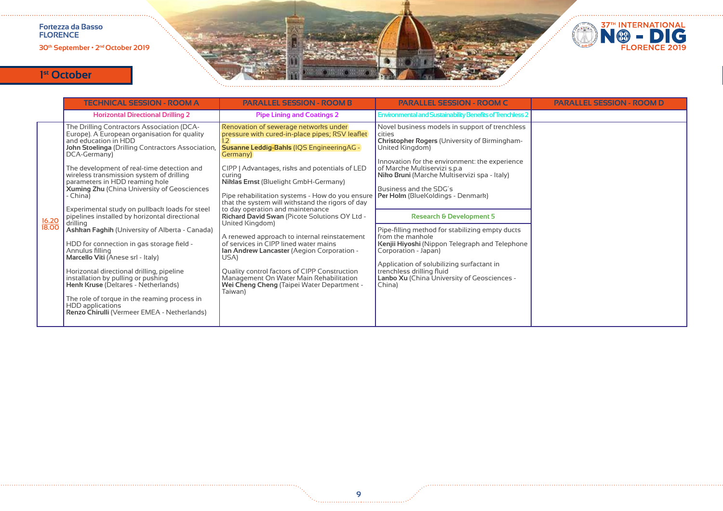**30th September • 2nd October 2019**



|                | <b>TECHNICAL SESSION - ROOM A</b>                                                                                                                                                                                                                                                                                                                                                                                                                                                                                                                                                                                                                                                                                                                                                                                                                                                                        | <b>PARALLEL SESSION - ROOM B</b>                                                                                                                                                                                                                                                                                                                                                                                                                                                                                                                                                                                                                                                                                                                                         | <b>PARALLEL SESSION - ROOM C</b>                                                                                                                                                                                                                                                                                                                                                                                                                                                                                                                                                                                                                                | <b>PARALLEL SESSION - ROOM D</b> |
|----------------|----------------------------------------------------------------------------------------------------------------------------------------------------------------------------------------------------------------------------------------------------------------------------------------------------------------------------------------------------------------------------------------------------------------------------------------------------------------------------------------------------------------------------------------------------------------------------------------------------------------------------------------------------------------------------------------------------------------------------------------------------------------------------------------------------------------------------------------------------------------------------------------------------------|--------------------------------------------------------------------------------------------------------------------------------------------------------------------------------------------------------------------------------------------------------------------------------------------------------------------------------------------------------------------------------------------------------------------------------------------------------------------------------------------------------------------------------------------------------------------------------------------------------------------------------------------------------------------------------------------------------------------------------------------------------------------------|-----------------------------------------------------------------------------------------------------------------------------------------------------------------------------------------------------------------------------------------------------------------------------------------------------------------------------------------------------------------------------------------------------------------------------------------------------------------------------------------------------------------------------------------------------------------------------------------------------------------------------------------------------------------|----------------------------------|
|                | <b>Horizontal Directional Drilling 2</b>                                                                                                                                                                                                                                                                                                                                                                                                                                                                                                                                                                                                                                                                                                                                                                                                                                                                 | <b>Pipe Lining and Coatings 2</b>                                                                                                                                                                                                                                                                                                                                                                                                                                                                                                                                                                                                                                                                                                                                        | <b>Environmental and Sustainability Benefits of Trenchless 2</b>                                                                                                                                                                                                                                                                                                                                                                                                                                                                                                                                                                                                |                                  |
| 16.20<br>18.00 | The Drilling Contractors Association (DCA-<br>Europe). A European organisation for quality<br>and education in HDD<br>John Stoelinga (Drilling Contractors Association,<br>DCA-Germany)<br>The development of real-time detection and<br>wireless transmission system of drilling<br>parameters in HDD reaming hole<br>Xuming Zhu (China University of Geosciences<br>- China)<br>Experimental study on pullback loads for steel<br>pipelines installed by horizontal directional<br>drillina<br>Ashkan Faghih (University of Alberta - Canada)<br>HDD for connection in gas storage field -<br>Annulus filling<br>Marcello Viti (Anese srl - Italy)<br>Horizontal directional drilling, pipeline<br>installation by pulling or pushing<br>Henk Kruse (Deltares - Netherlands)<br>The role of torque in the reaming process in<br><b>HDD</b> applications<br>Renzo Chirulli (Vermeer EMEA - Netherlands) | Renovation of sewerage networks under<br>pressure with cured-in-place pipes; RSV leaflet<br>Susanne Leddig-Bahls (IQS EngineeringAG -<br>Germany)<br>CIPP   Advantages, risks and potentials of LED<br>curing<br>Niklas Ernst (Bluelight GmbH-Germany)<br>Pipe rehabilitation systems - How do you ensure<br>that the system will withstand the rigors of day<br>to day operation and maintenance<br>Richard David Swan (Picote Solutions OY Ltd -<br>United Kingdom)<br>A renewed approach to internal reinstatement<br>of services in CIPP lined water mains<br>Ian Andrew Lancaster (Aegion Corporation -<br>USA)<br>Quality control factors of CIPP Construction<br>Management On Water Main Rehabilitation<br>Wei Cheng Cheng (Taipei Water Department -<br>Taiwan) | Novel business models in support of trenchless<br>cities<br><b>Christopher Rogers (University of Birmingham-</b><br>United Kingdom)<br>Innovation for the environment: the experience<br>of Marche Multiservizi s.p.a<br>Niko Bruni (Marche Multiservizi spa - Italy)<br>Business and the SDG's<br>Per Holm (BlueKoldings - Denmark)<br><b>Research &amp; Development 5</b><br>Pipe-filling method for stabilizing empty ducts<br>from the manhole<br>Kenjii Hiyoshi (Nippon Telegraph and Telephone<br>Corporation - Japan)<br>Application of solubilizing surfactant in<br>trenchless drilling fluid<br>Lanbo Xu (China University of Geosciences -<br>China) |                                  |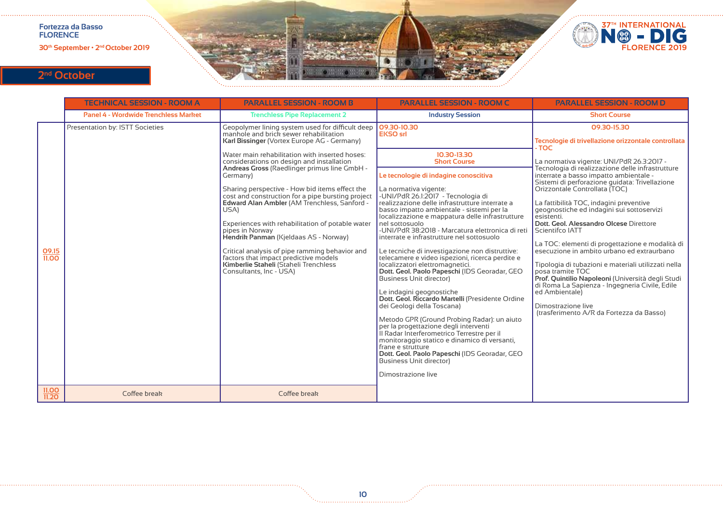

# **2nd October**

|                       | <b>TECHNICAL SESSION - ROOM A</b>           | <b>PARALLEL SESSION - ROOM B</b>                                                                                                                                                                                                                                                                                                                                                                                                                                                                                                                                                                                                                                                                                                                   | <b>PARALLEL SESSION - ROOM C</b>                                                                                                                                                                                                                                                                                                                                                                                                                                                                                                                                                                                                                                                                                                                                                           | <b>PARALLEL SESSION - ROOM D</b>                                                                                                                                                                                                                                                                                                                                                                                                                                                                                                                                                                                                                                                                                                                                                                                                                     |
|-----------------------|---------------------------------------------|----------------------------------------------------------------------------------------------------------------------------------------------------------------------------------------------------------------------------------------------------------------------------------------------------------------------------------------------------------------------------------------------------------------------------------------------------------------------------------------------------------------------------------------------------------------------------------------------------------------------------------------------------------------------------------------------------------------------------------------------------|--------------------------------------------------------------------------------------------------------------------------------------------------------------------------------------------------------------------------------------------------------------------------------------------------------------------------------------------------------------------------------------------------------------------------------------------------------------------------------------------------------------------------------------------------------------------------------------------------------------------------------------------------------------------------------------------------------------------------------------------------------------------------------------------|------------------------------------------------------------------------------------------------------------------------------------------------------------------------------------------------------------------------------------------------------------------------------------------------------------------------------------------------------------------------------------------------------------------------------------------------------------------------------------------------------------------------------------------------------------------------------------------------------------------------------------------------------------------------------------------------------------------------------------------------------------------------------------------------------------------------------------------------------|
|                       | <b>Panel 4 - Wordwide Trenchless Market</b> | <b>Trenchless Pipe Replacement 2</b>                                                                                                                                                                                                                                                                                                                                                                                                                                                                                                                                                                                                                                                                                                               | <b>Industry Session</b>                                                                                                                                                                                                                                                                                                                                                                                                                                                                                                                                                                                                                                                                                                                                                                    | <b>Short Course</b>                                                                                                                                                                                                                                                                                                                                                                                                                                                                                                                                                                                                                                                                                                                                                                                                                                  |
| 09.15<br><b>11.00</b> | Presentation by: ISTT Societies             | Geopolymer lining system used for difficult deep<br>manhole and brick sewer rehabilitation<br>Karl Bissinger (Vortex Europe AG - Germany)<br>Water main rehabilitation with inserted hoses:<br>considerations on design and installation<br>Andreas Gross (Raedlinger primus line GmbH -<br>Germany)<br>Sharing perspective - How bid items effect the<br>cost and construction for a pipe bursting project<br>Edward Alan Ambler (AM Trenchless, Sanford -<br>USA)<br>Experiences with rehabilitation of potable water<br>pipes in Norway<br>Hendrik Panman (Kjeldaas AS - Norway)<br>Critical analysis of pipe ramming behavior and<br>factors that impact predictive models<br>Kimberlie Staheli (Staheli Trenchless<br>Consultants, Inc - USA) | 09.30-10.30<br><b>EKSO</b> srl<br>10.30-13.30<br><b>Short Course</b><br>Le tecnologie di indagine conoscitiva<br>La normativa vigente:<br>-UNI/PdR 26.1.2017 - Tecnologia di<br>realizzazione delle infrastrutture interrate a<br>basso impatto ambientale - sistemi per la<br>localizzazione e mappatura delle infrastrutture<br>nel sottosuolo<br>-UNI/PdR 38:2018 - Marcatura elettronica di reti<br>interrate e infrastrutture nel sottosuolo<br>Le tecniche di investigazione non distruttive:<br>telecamere e video ispezioni, ricerca perdite e<br>localizzatori elettromagnetici.<br>Dott. Geol. Paolo Papeschi (IDS Georadar, GEO<br><b>Business Unit director)</b><br>Le indagini geognostiche<br>Dott. Geol. Riccardo Martelli (Presidente Ordine<br>dei Geologi della Toscana) | 09.30-15.30<br>Tecnologie di trivellazione orizzontale controllata<br>- TOC<br>La normativa vigente: UNI/PdR 26.3:2017 -<br>Tecnologia di realizzazione delle infrastrutture<br>interrate a basso impatto ambientale -<br>Sistemi di perforazione quidata: Trivellazione<br>Orizzontale Controllata (TOC)<br>La fattibilità TOC, indagini preventive<br>geognostiche ed indagini sui sottoservizi<br>esistenti.<br>Dott, Geol. Alessandro Olcese Direttore<br>Scientifco IATT<br>La TOC: elementi di progettazione e modalità di<br>esecuzione in ambito urbano ed extraurbano<br>Tipologia di tubazioni e materiali utilizzati nella<br>posa tramite TOC<br>Prof. Quintilio Napoleoni (Università degli Studi<br>di Roma La Sapienza - Ingegneria Civile, Edile<br>ed Ambientale)<br>Dimostrazione live<br>(trasferimento A/R da Fortezza da Basso) |
|                       |                                             |                                                                                                                                                                                                                                                                                                                                                                                                                                                                                                                                                                                                                                                                                                                                                    | Metodo GPR (Ground Probing Radar): un aiuto<br>per la progettazione degli interventi<br>Il Radar Interferometrico Terrestre per il<br>monitoraggio statico e dinamico di versanti,<br>frane e strutture<br>Dott. Geol. Paolo Papeschi (IDS Georadar, GEO<br><b>Business Unit director)</b><br>Dimostrazione live                                                                                                                                                                                                                                                                                                                                                                                                                                                                           |                                                                                                                                                                                                                                                                                                                                                                                                                                                                                                                                                                                                                                                                                                                                                                                                                                                      |
| 11.00<br>11.20        | Coffee break                                | Coffee break                                                                                                                                                                                                                                                                                                                                                                                                                                                                                                                                                                                                                                                                                                                                       |                                                                                                                                                                                                                                                                                                                                                                                                                                                                                                                                                                                                                                                                                                                                                                                            |                                                                                                                                                                                                                                                                                                                                                                                                                                                                                                                                                                                                                                                                                                                                                                                                                                                      |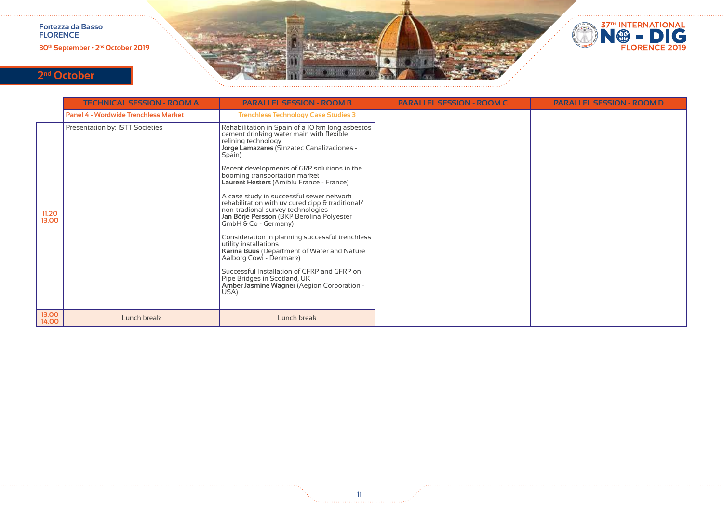**30th September • 2nd October 2019**



# **2nd October**

|                       | <b>TECHNICAL SESSION - ROOM A</b>           | <b>PARALLEL SESSION - ROOM B</b>                                                                                                                                                                                                                                                                                                                                                                                                                                                                                                                                                                                                                                                                                                                                                                             | <b>PARALLEL SESSION - ROOM C</b> | <b>PARALLEL SESSION - ROOM D</b> |
|-----------------------|---------------------------------------------|--------------------------------------------------------------------------------------------------------------------------------------------------------------------------------------------------------------------------------------------------------------------------------------------------------------------------------------------------------------------------------------------------------------------------------------------------------------------------------------------------------------------------------------------------------------------------------------------------------------------------------------------------------------------------------------------------------------------------------------------------------------------------------------------------------------|----------------------------------|----------------------------------|
|                       | <b>Panel 4 - Wordwide Trenchless Market</b> | <b>Trenchless Technology Case Studies 3</b>                                                                                                                                                                                                                                                                                                                                                                                                                                                                                                                                                                                                                                                                                                                                                                  |                                  |                                  |
| <u>11.20</u><br>13,00 | Presentation by: ISTT Societies             | Rehabilitation in Spain of a 10 km long asbestos<br>cement drinking water main with flexible<br>relining technology<br>Jorge Lamazares (Sinzatec Canalizaciones -<br>Spain)<br>Recent developments of GRP solutions in the<br>booming transportation market<br>Laurent Hesters (Amiblu France - France)<br>A case study in successful sewer network<br>rehabilitation with uv cured cipp & traditional/<br>non-tradional survey technologies<br>Jan Börje Persson (BKP Berolina Polyester<br>GmbH & Co - Germany)<br>Consideration in planning successful trenchless<br>utility installations<br>Karina Buus (Department of Water and Nature<br>Aalborg Cowi - Denmark)<br>Successful Installation of CFRP and GFRP on<br>Pipe Bridges in Scotland, UK<br>Amber Jasmine Wagner (Aegion Corporation -<br>USA) |                                  |                                  |
| 13.00<br>14.00        | Lunch break                                 | Lunch break                                                                                                                                                                                                                                                                                                                                                                                                                                                                                                                                                                                                                                                                                                                                                                                                  |                                  |                                  |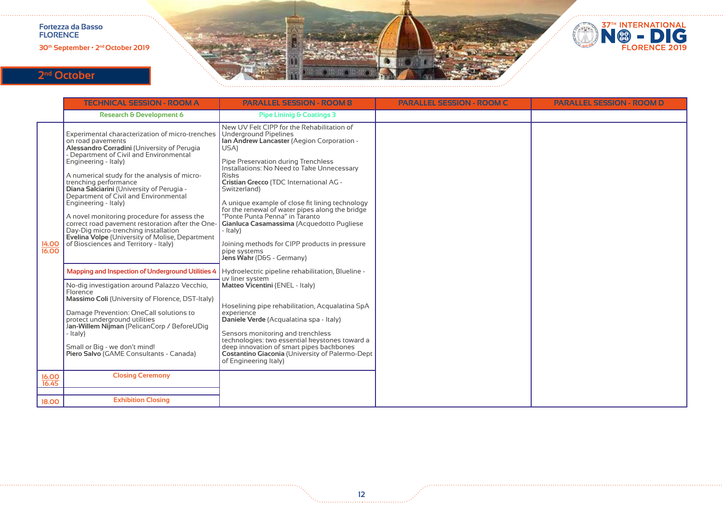**30th September • 2nd October 2019**



# **2nd October**

|                | <b>TECHNICAL SESSION - ROOM A</b>                                                                                                                                                                                                                                                                                                                                                                                                                                                                                                                                                                                                                                                                                                                                                                                                                                                                                                                                                                                        | <b>PARALLEL SESSION - ROOM B</b>                                                                                                                                                                                                                                                                                                                                                                                                                                                                                                                                                                                                                                                                                                                                                                                                                                                                                                                                                                                                      | <b>PARALLEL SESSION - ROOM C</b> | <b>PARALLEL SESSION - ROOM D</b> |
|----------------|--------------------------------------------------------------------------------------------------------------------------------------------------------------------------------------------------------------------------------------------------------------------------------------------------------------------------------------------------------------------------------------------------------------------------------------------------------------------------------------------------------------------------------------------------------------------------------------------------------------------------------------------------------------------------------------------------------------------------------------------------------------------------------------------------------------------------------------------------------------------------------------------------------------------------------------------------------------------------------------------------------------------------|---------------------------------------------------------------------------------------------------------------------------------------------------------------------------------------------------------------------------------------------------------------------------------------------------------------------------------------------------------------------------------------------------------------------------------------------------------------------------------------------------------------------------------------------------------------------------------------------------------------------------------------------------------------------------------------------------------------------------------------------------------------------------------------------------------------------------------------------------------------------------------------------------------------------------------------------------------------------------------------------------------------------------------------|----------------------------------|----------------------------------|
|                | <b>Research &amp; Development 6</b>                                                                                                                                                                                                                                                                                                                                                                                                                                                                                                                                                                                                                                                                                                                                                                                                                                                                                                                                                                                      | <b>Pipe Lininig &amp; Coatings 3</b>                                                                                                                                                                                                                                                                                                                                                                                                                                                                                                                                                                                                                                                                                                                                                                                                                                                                                                                                                                                                  |                                  |                                  |
| 14.00<br>16.00 | Experimental characterization of micro-trenches<br>on road pavements<br>Alessandro Corradini (University of Perugia<br>Department of Civil and Environmental<br>Engineering - Italy)<br>A numerical study for the analysis of micro-<br>trenching performance<br>Diana Salciarini (University of Perugia -<br>Department of Civil and Environmental<br>Engineering - Italy)<br>A novel monitoring procedure for assess the<br>correct road pavement restoration after the One-<br>Dav-Dig micro-trenching installation<br><b>Evelina Volpe (University of Molise, Department</b><br>of Biosciences and Territory - Italy)<br><b>Mapping and Inspection of Underground Utilities 4</b><br>No-dig investigation around Palazzo Vecchio,<br>Florence<br>Massimo Coli (University of Florence, DST-Italy)<br>Damage Prevention: OneCall solutions to<br>protect underground utilities<br>Jan-Willem Nijman (PelicanCorp / BeforeUDig<br>- Italy)<br>Small or Big - we don't mind!<br>Piero Salvo (GAME Consultants - Canada) | New UV Felt CIPP for the Rehabilitation of<br><b>Underground Pipelines</b><br>Ian Andrew Lancaster (Aegion Corporation -<br>USA)<br>Pipe Preservation during Trenchless<br>Installations: No Need to Take Unnecessary<br><b>Risks</b><br>Cristian Grecco (TDC International AG -<br>Switzerland)<br>A unique example of close fit lining technology<br>for the renewal of water pipes along the bridge<br>"Ponte Punta Penna" in Taranto<br>Gianluca Casamassima (Acquedotto Pugliese<br>- Italy)<br>Joining methods for CIPP products in pressure<br>pipe systems<br>Jens Wahr (D&S - Germany)<br>Hydroelectric pipeline rehabilitation, Blueline -<br>uv liner system<br>Matteo Vicentini (ENEL - Italy)<br>Hoselining pipe rehabilitation, Acqualatina SpA<br>experience<br>Daniele Verde (Acqualatina spa - Italy)<br>Sensors monitoring and trenchless<br>technologies: two essential keystones toward a<br>deep innovation of smart pipes backbones<br>Costantino Giaconia (University of Palermo-Dept<br>of Engineering Italy) |                                  |                                  |
| 16.00<br>16.45 | <b>Closing Ceremony</b>                                                                                                                                                                                                                                                                                                                                                                                                                                                                                                                                                                                                                                                                                                                                                                                                                                                                                                                                                                                                  |                                                                                                                                                                                                                                                                                                                                                                                                                                                                                                                                                                                                                                                                                                                                                                                                                                                                                                                                                                                                                                       |                                  |                                  |
|                |                                                                                                                                                                                                                                                                                                                                                                                                                                                                                                                                                                                                                                                                                                                                                                                                                                                                                                                                                                                                                          |                                                                                                                                                                                                                                                                                                                                                                                                                                                                                                                                                                                                                                                                                                                                                                                                                                                                                                                                                                                                                                       |                                  |                                  |
| 18.00          | <b>Exhibition Closing</b>                                                                                                                                                                                                                                                                                                                                                                                                                                                                                                                                                                                                                                                                                                                                                                                                                                                                                                                                                                                                |                                                                                                                                                                                                                                                                                                                                                                                                                                                                                                                                                                                                                                                                                                                                                                                                                                                                                                                                                                                                                                       |                                  |                                  |